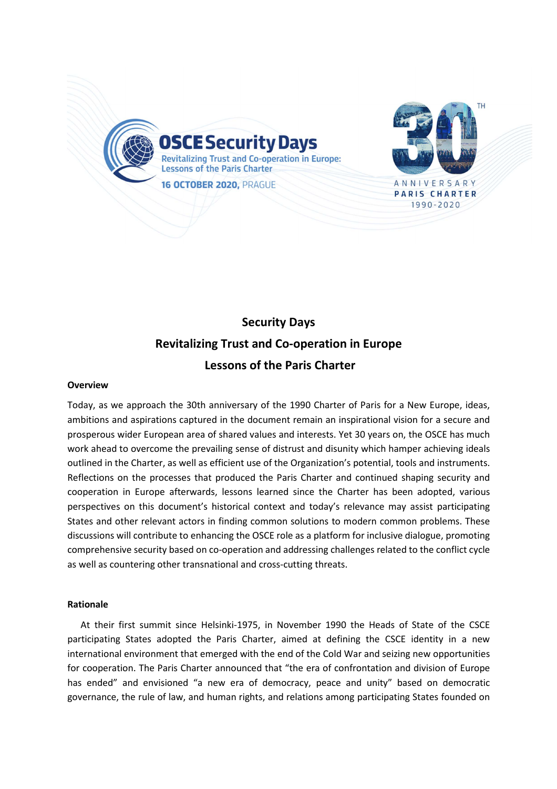

# **Security Days Revitalizing Trust and Co-operation in Europe Lessons of the Paris Charter**

#### **Overview**

Today, as we approach the 30th anniversary of the 1990 Charter of Paris for a New Europe, ideas, ambitions and aspirations captured in the document remain an inspirational vision for a secure and prosperous wider European area of shared values and interests. Yet 30 years on, the OSCE has much work ahead to overcome the prevailing sense of distrust and disunity which hamper achieving ideals outlined in the Charter, as well as efficient use of the Organization's potential, tools and instruments. Reflections on the processes that produced the Paris Charter and continued shaping security and cooperation in Europe afterwards, lessons learned since the Charter has been adopted, various perspectives on this document's historical context and today's relevance may assist participating States and other relevant actors in finding common solutions to modern common problems. These discussions will contribute to enhancing the OSCE role as a platform for inclusive dialogue, promoting comprehensive security based on co-operation and addressing challenges related to the conflict cycle as well as countering other transnational and cross-cutting threats.

#### **Rationale**

At their first summit since Helsinki-1975, in November 1990 the Heads of State of the CSCE participating States adopted the Paris Charter, aimed at defining the CSCE identity in a new international environment that emerged with the end of the Cold War and seizing new opportunities for cooperation. The Paris Charter announced that "the era of confrontation and division of Europe has ended" and envisioned "a new era of democracy, peace and unity" based on democratic governance, the rule of law, and human rights, and relations among participating States founded on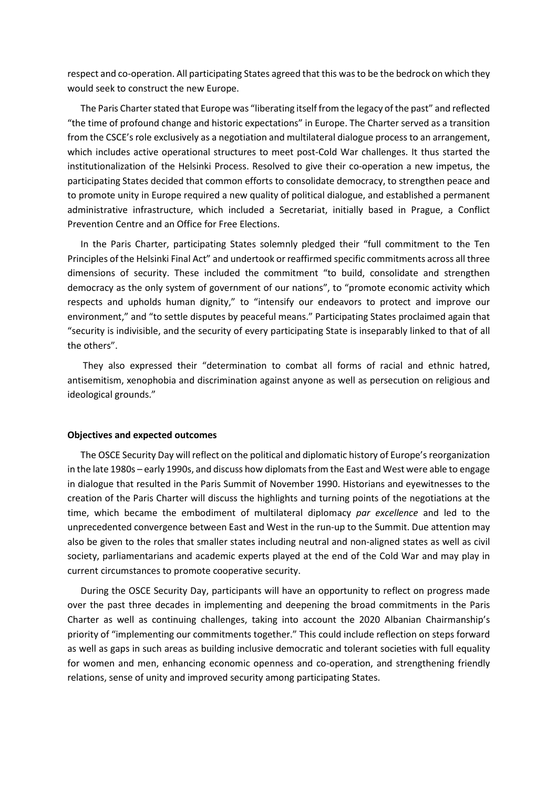respect and co-operation. All participating States agreed that this was to be the bedrock on which they would seek to construct the new Europe.

The Paris Charter stated that Europe was "liberating itself from the legacy of the past" and reflected "the time of profound change and historic expectations" in Europe. The Charter served as a transition from the CSCE's role exclusively as a negotiation and multilateral dialogue process to an arrangement, which includes active operational structures to meet post-Cold War challenges. It thus started the institutionalization of the Helsinki Process. Resolved to give their co-operation a new impetus, the participating States decided that common efforts to consolidate democracy, to strengthen peace and to promote unity in Europe required a new quality of political dialogue, and established a permanent administrative infrastructure, which included a Secretariat, initially based in Prague, a Conflict Prevention Centre and an Office for Free Elections.

In the Paris Charter, participating States solemnly pledged their "full commitment to the Ten Principles of the Helsinki Final Act" and undertook or reaffirmed specific commitments across all three dimensions of security. These included the commitment "to build, consolidate and strengthen democracy as the only system of government of our nations", to "promote economic activity which respects and upholds human dignity," to "intensify our endeavors to protect and improve our environment," and "to settle disputes by peaceful means." Participating States proclaimed again that "security is indivisible, and the security of every participating State is inseparably linked to that of all the others".

 They also expressed their "determination to combat all forms of racial and ethnic hatred, antisemitism, xenophobia and discrimination against anyone as well as persecution on religious and ideological grounds."

#### **Objectives and expected outcomes**

The OSCE Security Day will reflect on the political and diplomatic history of Europe's reorganization in the late 1980s – early 1990s, and discuss how diplomats from the East and West were able to engage in dialogue that resulted in the Paris Summit of November 1990. Historians and eyewitnesses to the creation of the Paris Charter will discuss the highlights and turning points of the negotiations at the time, which became the embodiment of multilateral diplomacy *par excellence* and led to the unprecedented convergence between East and West in the run-up to the Summit. Due attention may also be given to the roles that smaller states including neutral and non-aligned states as well as civil society, parliamentarians and academic experts played at the end of the Cold War and may play in current circumstances to promote cooperative security.

During the OSCE Security Day, participants will have an opportunity to reflect on progress made over the past three decades in implementing and deepening the broad commitments in the Paris Charter as well as continuing challenges, taking into account the 2020 Albanian Chairmanship's priority of "implementing our commitments together." This could include reflection on steps forward as well as gaps in such areas as building inclusive democratic and tolerant societies with full equality for women and men, enhancing economic openness and co-operation, and strengthening friendly relations, sense of unity and improved security among participating States.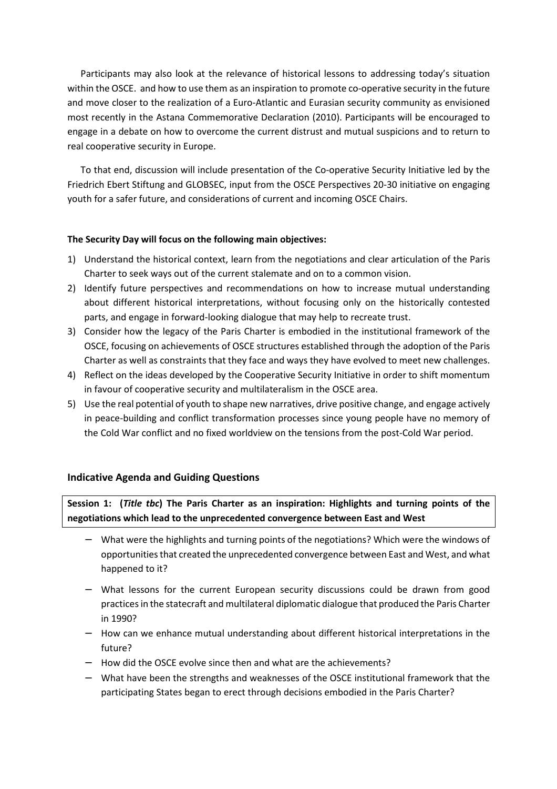Participants may also look at the relevance of historical lessons to addressing today's situation within the OSCE. and how to use them as an inspiration to promote co-operative security in the future and move closer to the realization of a Euro-Atlantic and Eurasian security community as envisioned most recently in the Astana Commemorative Declaration (2010). Participants will be encouraged to engage in a debate on how to overcome the current distrust and mutual suspicions and to return to real cooperative security in Europe.

To that end, discussion will include presentation of the Co-operative Security Initiative led by the Friedrich Ebert Stiftung and GLOBSEC, input from the OSCE Perspectives 20-30 initiative on engaging youth for a safer future, and considerations of current and incoming OSCE Chairs.

### **The Security Day will focus on the following main objectives:**

- 1) Understand the historical context, learn from the negotiations and clear articulation of the Paris Charter to seek ways out of the current stalemate and on to a common vision.
- 2) Identify future perspectives and recommendations on how to increase mutual understanding about different historical interpretations, without focusing only on the historically contested parts, and engage in forward-looking dialogue that may help to recreate trust.
- 3) Consider how the legacy of the Paris Charter is embodied in the institutional framework of the OSCE, focusing on achievements of OSCE structures established through the adoption of the Paris Charter as well as constraints that they face and ways they have evolved to meet new challenges.
- 4) Reflect on the ideas developed by the Cooperative Security Initiative in order to shift momentum in favour of cooperative security and multilateralism in the OSCE area.
- 5) Use the real potential of youth to shape new narratives, drive positive change, and engage actively in peace-building and conflict transformation processes since young people have no memory of the Cold War conflict and no fixed worldview on the tensions from the post-Cold War period.

## **Indicative Agenda and Guiding Questions**

**Session 1: (***Title tbc***) The Paris Charter as an inspiration: Highlights and turning points of the negotiations which lead to the unprecedented convergence between East and West** 

- − What were the highlights and turning points of the negotiations? Which were the windows of opportunities that created the unprecedented convergence between East and West, and what happened to it?
- − What lessons for the current European security discussions could be drawn from good practices in the statecraft and multilateral diplomatic dialogue that produced the Paris Charter in 1990?
- − How can we enhance mutual understanding about different historical interpretations in the future?
- − How did the OSCE evolve since then and what are the achievements?
- − What have been the strengths and weaknesses of the OSCE institutional framework that the participating States began to erect through decisions embodied in the Paris Charter?